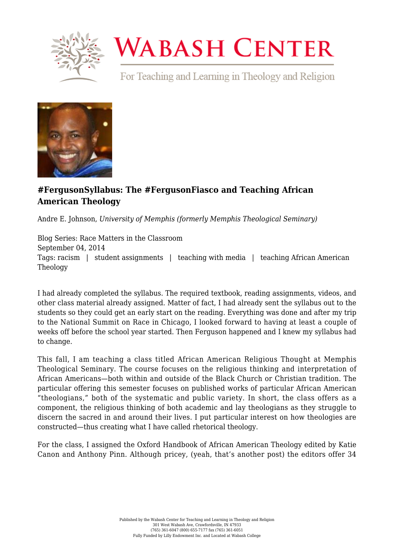

## **WABASH CENTER**

For Teaching and Learning in Theology and Religion



## **[#FergusonSyllabus: The #FergusonFiasco and Teaching African](https://www.wabashcenter.wabash.edu/2014/09/fergusonsyllabus-the-fergusonfiasco-and-teaching-african-american-theology/) [American Theology](https://www.wabashcenter.wabash.edu/2014/09/fergusonsyllabus-the-fergusonfiasco-and-teaching-african-american-theology/)**

Andre E. Johnson, *University of Memphis (formerly Memphis Theological Seminary)*

Blog Series: Race Matters in the Classroom September 04, 2014 Tags: racism | student assignments | teaching with media | teaching African American Theology

I had already completed the syllabus. The required textbook, reading assignments, videos, and other class material already assigned. Matter of fact, I had already sent the syllabus out to the students so they could get an early start on the reading. Everything was done and after my trip to the [National Summit on Race](http://rhetoricraceandreligion.blogspot.com/2014/08/resolution-from-religious-narrative-and.html) in Chicago, I looked forward to having at least a couple of weeks off before the school year started. Then Ferguson happened and I knew my syllabus had to change.

This fall, I am teaching a class titled [African American Religious Thought](https://docs.google.com/a/memphisseminary.edu/document/d/12HfFg5dFRNL-Xz_2OmBH0R7Zd7fv8kc3YIyvy8TUqvw/edit) at [Memphis](http://www.memphisseminary.edu/) [Theological Seminary](http://www.memphisseminary.edu/). The course focuses on the religious thinking and interpretation of African Americans—both within and outside of the Black Church or Christian tradition. The particular offering this semester focuses on published works of particular African American "theologians," both of the systematic and public variety. In short, the class offers as a component, the religious thinking of both academic and lay theologians as they struggle to discern the sacred in and around their lives. I put particular interest on how theologies are constructed—thus creating what I have called [rhetorical theology.](http://rhetoricraceandreligion.blogspot.com/2012/05/avoiding-phony-religiosity-rhetorical.html)

For the class, I assigned the [Oxford Handbook of African American Theology](http://www.amazon.com/Handbook-African-American-Theology-Handbooks/dp/0199755655) edited by Katie Canon and Anthony Pinn. Although pricey, (yeah, that's another post) the editors offer 34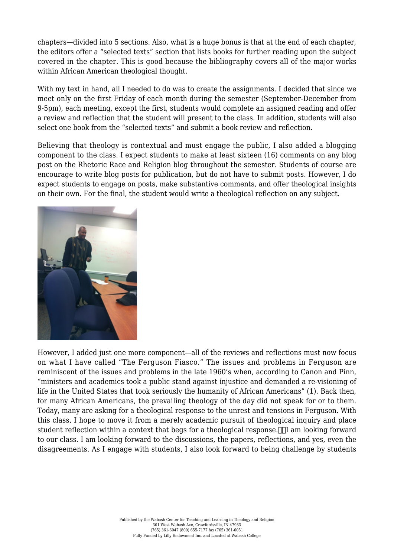chapters—divided into 5 sections. Also, what is a huge bonus is that at the end of each chapter, the editors offer a "selected texts" section that lists books for further reading upon the subject covered in the chapter. This is good because the bibliography covers all of the major works within African American theological thought.

With my text in hand, all I needed to do was to create the assignments. I decided that since we meet only on the first Friday of each month during the semester (September-December from 9-5pm), each meeting, except the first, students would complete an assigned reading and offer a review and reflection that the student will present to the class. In addition, students will also select one book from the "selected texts" and submit a book review and reflection.

Believing that theology is contextual and must engage the public, I also added a blogging component to the class. I expect students to make at least sixteen (16) comments on any blog post on the [Rhetoric Race and Religion blog](http://rhetoricraceandreligion.blogspot.com/) throughout the semester. Students of course are encourage to write blog posts for publication, but do not have to submit posts. However, I do expect students to engage on posts, make substantive comments, and offer theological insights on their own. For the final, the student would write a theological reflection on any subject.



However, I added just one more component—all of the reviews and reflections must now focus on what I have called ["The Ferguson Fiasco."](http://rhetoricraceandreligion.blogspot.com/p/the-murder-of-michaelbrown-reader.html) The issues and problems in Ferguson are reminiscent of the issues and problems in the late 1960's when, according to Canon and Pinn, "ministers and academics took a public stand against injustice and demanded a re-visioning of life in the United States that took seriously the humanity of African Americans" (1). Back then, for many African Americans, the prevailing theology of the day did not speak for or to them. Today, many are asking for a theological response to the unrest and tensions in Ferguson. With this class, I hope to move it from a merely academic pursuit of theological inquiry and place student reflection within a context that begs for a theological response.  $\ln$  am looking forward to our class. I am looking forward to the discussions, the papers, reflections, and yes, even the disagreements. As I engage with students, I also look forward to being challenge by students